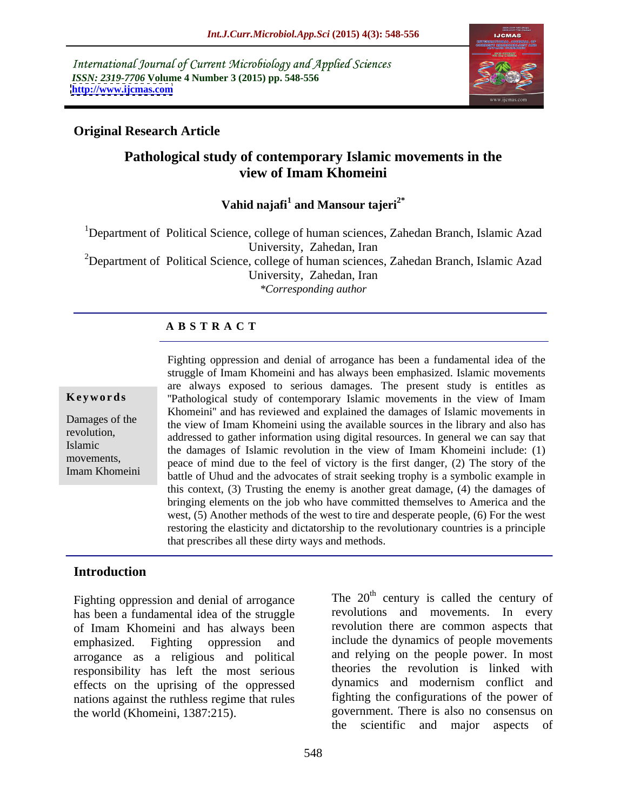International Journal of Current Microbiology and Applied Sciences *ISSN: 2319-7706* **Volume 4 Number 3 (2015) pp. 548-556 <http://www.ijcmas.com>**



## **Original Research Article**

## **Pathological study of contemporary Islamic movements in the view of Imam Khomeini**

Vahid najafi<sup>1</sup> and Mansour tajeri<sup>2\*</sup>  **and Mansour tajeri2\***

<sup>1</sup>Department of Political Science, college of human sciences, Zahedan Branch, Islamic Azad University, Zahedan, Iran <sup>2</sup>Department of Political Science, college of human sciences, Zahedan Branch, Islamic Azad University, Zahedan, Iran

*\*Corresponding author*

## **A B S T R A C T**

Imam Khomeini

Fighting oppression and denial of arrogance has been a fundamental idea of the struggle of Imam Khomeini and has always been emphasized. Islamic movements are always exposed to serious damages. The present study is entitles as **Keywords** "Pathological study of contemporary Islamic movements in the view of Imam Khomeini'' and has reviewed and explained the damages of Islamic movements in Damages of the the view of Imam Khomeini using the available sources in the library and also has revolution,<br>
addressed to gather information using digital resources. In general we can say that Islamic<br>the damages of Islamic revolution in the view of Imam Khomeini include: (1) movements,<br>
peace of mind due to the feel of victory is the first danger, (2) The story of the battle of Uhud and the advocates of strait seeking trophy is a symbolic example in this context, (3) Trusting the enemy is another great damage, (4) the damages of bringing elements on the job who have committed themselves to America and the west, (5) Another methods of the west to tire and desperate people, (6) For the west restoring the elasticity and dictatorship to the revolutionary countries is a principle that prescribes all these dirty ways and methods.

## **Introduction**

Fighting oppression and denial of arrogance has been a fundamental idea of the struggle of Imam Khomeini and has always been emphasized. Fighting oppression and include the dynamics of people movements arrogance as a religious and political responsibility has left the most serious effects on the uprising of the oppressed nations against the ruthless regime that rules the world (Khomeini, 1387:215).

The  $20<sup>th</sup>$  century is called the century of revolutions and movements. In every revolution there are common aspects that and relying on the people power. In most theories the revolution is linked with dynamics and modernism conflict and fighting the configurations of the power of government. There is also no consensus on the scientific and major aspects of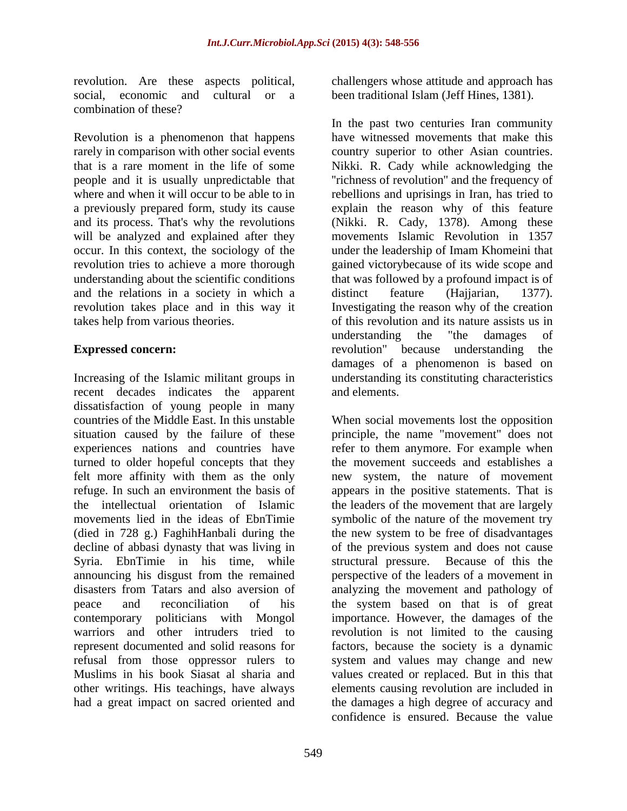social, economic and cultural or a been traditional Islam (Jeff Hines, 1381). combination of these?

Revolution is a phenomenon that happens will be analyzed and explained after they and the relations in a society in which a distinct feature (Hajjarian, 1377).

Increasing of the Islamic militant groups in understanding its constituting characteristics recent decades indicates the apparent and elements. dissatisfaction of young people in many countries of the Middle East. In this unstable When social movements lost the opposition situation caused by the failure of these principle, the name "movement" does not experiences nations and countries have turned to older hopeful concepts that they he movement succeeds and establishes a felt more affinity with them as the only new system, the nature of movement refuge. In such an environment the basis of appears in the positive statements. That is the intellectual orientation of Islamic the leaders of the movement that are largely movements lied in the ideas of EbnTimie symbolic of the nature of the movement try (died in 728 g.) FaghihHanbali during the the new system to be free of disadvantages decline of abbasi dynasty that was living in of the previous system and does not cause Syria. EbnTimie in his time, while announcing his disgust from the remained perspective of the leaders of a movement in disasters from Tatars and also aversion of analyzing the movement and pathology of peace and reconciliation of his the system based on that is of great contemporary politicians with Mongol importance. However, the damages of the warriors and other intruders tried to revolution is not limited to the causing represent documented and solid reasons for refusal from those oppressor rulers to system and values may change and new Muslims in his book Siasat al sharia and values created or replaced. But in this that other writings. His teachings, have always elements causing revolution are included in

revolution. Are these aspects political, challengers whose attitude and approach has

rarely in comparison with other social events country superior to other Asian countries. that is a rare moment in the life of some Nikki. R. Cady while acknowledging the people and it is usually unpredictable that ''richness of revolution'' and the frequency of where and when it will occur to be able to in rebellions and uprisings in Iran, has tried to a previously prepared form, study its cause explain the reason why of this feature and its process. That's why the revolutions (Nikki. R. Cady, 1378). Among these occur. In this context, the sociology of the under the leadership of Imam Khomeini that revolution tries to achieve a more thorough gained victorybecause of its wide scope and understanding about the scientific conditions that was followed by a profound impact is of revolution takes place and in this way it Investigating the reason why of the creation takes help from various theories. of this revolution and its nature assists us in **Expressed concern:** The revolution " because understanding the revolution" because understanding the In the past two centuries Iran community have witnessed movements that make this movements Islamic Revolution in 1357 distinct feature (Hajjarian, 1377). understanding the "the damages of revolution" because understanding the damages of a phenomenon is based on and elements.

had a great impact on sacred oriented and the damages a high degree of accuracy and refer to them anymore. For example when structural pressure. Because of this the factors, because the society is a dynamic confidence is ensured. Because the value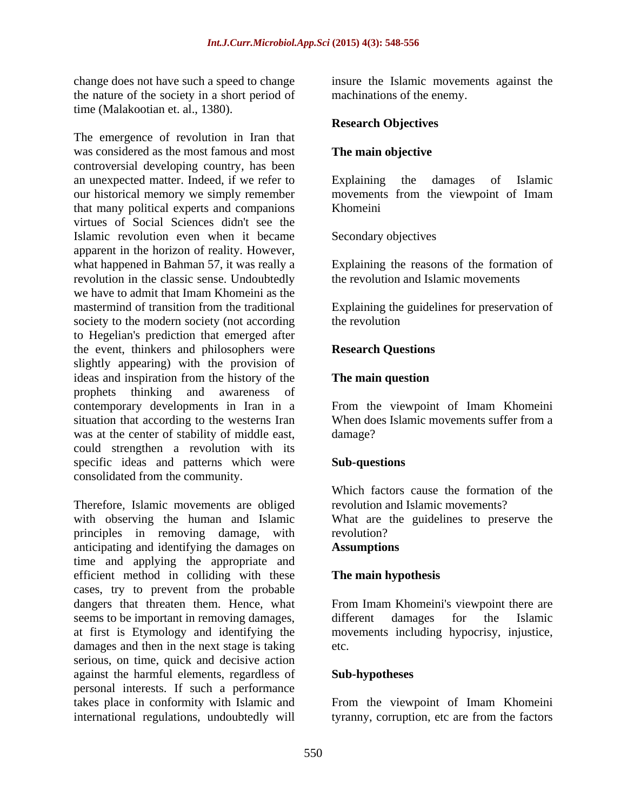the nature of the society in a short period of time (Malakootian et. al., 1380).

The emergence of revolution in Iran that was considered as the most famous and most The main objective controversial developing country, has been an unexpected matter. Indeed, if we refer to Explaining the damages of Islamic our historical memory we simply remember movements from the viewpoint of Imam that many political experts and companions virtues of Social Sciences didn't see the Islamic revolution even when it became apparent in the horizon of reality. However, what happened in Bahman 57, it was really a Explaining the reasons of the formation of revolution in the classic sense. Undoubtedly we have to admit that Imam Khomeini as the mastermind of transition from the traditional Explaining the guidelines for preservation of society to the modern society (not according the revolution to Hegelian's prediction that emerged after the event, thinkers and philosophers were slightly appearing) with the provision of ideas and inspiration from the history of the **The main question**<br>prophets thinking and awareness of prophets thinking and awareness of contemporary developments in Iran in a From the viewpoint of Imam Khomeini situation that according to the westerns Iran When does Islamic movements suffer from a was at the center of stability of middle east, damage? could strengthen a revolution with its specific ideas and patterns which were **Sub-questions** consolidated from the community.

Therefore, Islamic movements are obliged with observing the human and Islamic What are the guidelines to preserve the principles in removing damage, with anticipating and identifying the damages on time and applying the appropriate and efficient method in colliding with these cases, try to prevent from the probable dangers that threaten them. Hence, what dangers that threaten them. Hence, what From Imam Khomeini's viewpoint there are seems to be important in removing damages, different damages for the Islamic at first is Etymology and identifying the movements including hypocrisy, injustice, at first is Etymology and identifying the movements including hypocrisy, injustice, damages and then in the next stage is taking etc. serious, on time, quick and decisive action against the harmful elements, regardless of personal interests. If such a performance takes place in conformity with Islamic and From the viewpoint of Imam Khomeini

change does not have such a speed to change insure the Islamic movements against the machinations of the enemy.

## **Research Objectives**

## **The main objective**

Explaining the damages of Islamic Khomeini **Khomeini** 

Secondary objectives

the revolution and Islamic movements

the revolution

## **Research Questions**

## **The main question**

damage? **Example 2** and the contract of the contract of the contract of the contract of the contract of the contract of the contract of the contract of the contract of the contract of the contract of the contract of the co

## **Sub-questions**

Which factors cause the formation of the revolution and Islamic movements? revolution? **Assumptions**

## **The main hypothesis**

different damages for the Islamic etc.

## **Sub-hypotheses**

international regulations, undoubtedly will tyranny, corruption, etc are from the factors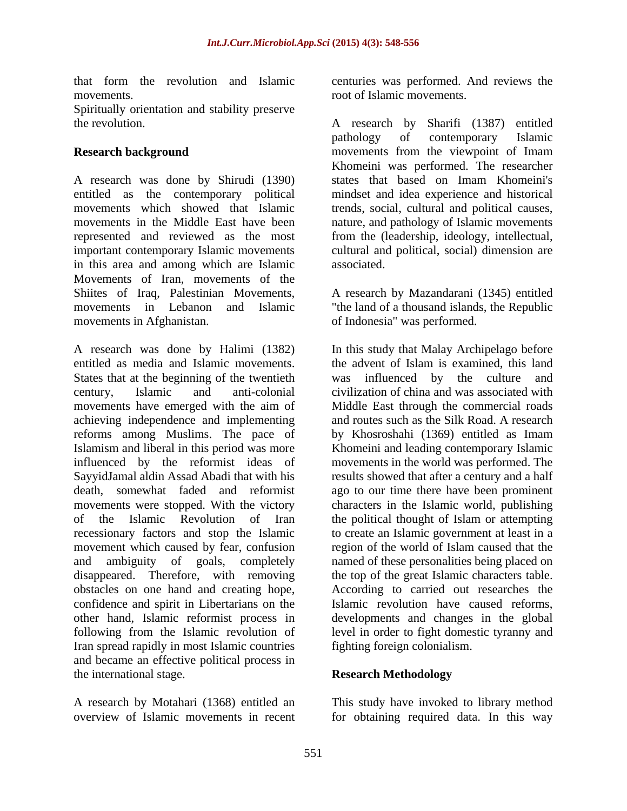movements. The contract of Islamic movements.

Spiritually orientation and stability preserve

A research was done by Shirudi (1390) entitled as the contemporary political mindset and idea experience and historical movements which showed that Islamic trends, social, cultural and political causes, movements in the Middle East have been nature, and pathology of Islamic movements represented and reviewed as the most important contemporary Islamic movements in this area and among which are Islamic Movements of Iran, movements of the Shiites of Iraq, Palestinian Movements, A research by Mazandarani (1345) entitled movements in Lebanon and Islamic "the land of a thousand islands, the Republic movements in Afghanistan. of Indonesia" was performed.

entitled as media and Islamic movements. States that at the beginning of the twentieth movements have emerged with the aim of achieving independence and implementing movement which caused by fear, confusion confidence and spirit in Libertarians on the Iran spread rapidly in most Islamic countries and became an effective political process in the international stage. **Research Methodology** 

that form the revolution and Islamic centuries was performed. And reviews the

the revolution. A research by Sharifi (1387) entitled **Research background nowements** from the viewpoint of Imam pathology of contemporary Islamic Khomeini was performed. The researcher states that based on Imam Khomeini's from the (leadership, ideology, intellectual, cultural and political, social) dimension are associated.

A research was done by Halimi (1382) In this study that Malay Archipelago before century, Islamic and anti-colonial civilization of china and was associated with reforms among Muslims. The pace of by Khosroshahi (1369) entitled as Imam Islamism and liberal in this period was more Khomeini and leading contemporary Islamic influenced by the reformist ideas of movements in the world was performed. The SayyidJamal aldin Assad Abadi that with his results showed that after a century and a half death, somewhat faded and reformist ago to our time there have been prominent movements were stopped. With the victory characters in the Islamic world, publishing of the Islamic Revolution of Iran the political thought of Islam or attempting recessionary factors and stop the Islamic to create an Islamic government at least in a and ambiguity of goals, completely named of these personalities being placed on disappeared. Therefore, with removing the top of the great Islamic characters table. obstacles on one hand and creating hope, According to carried out researches the other hand, Islamic reformist process in developments and changes in the global following from the Islamic revolution of level in order to fight domestic tyranny and the advent of Islam is examined, this land was influenced by the culture and Middle East through the commercial roads and routes such as the Silk Road. A research region of the world of Islam caused that the Islamic revolution have caused reforms, fighting foreign colonialism.

## **Research Methodology**

A research by Motahari (1368) entitled an This study have invoked to library method overview of Islamic movements in recent for obtaining required data. In this way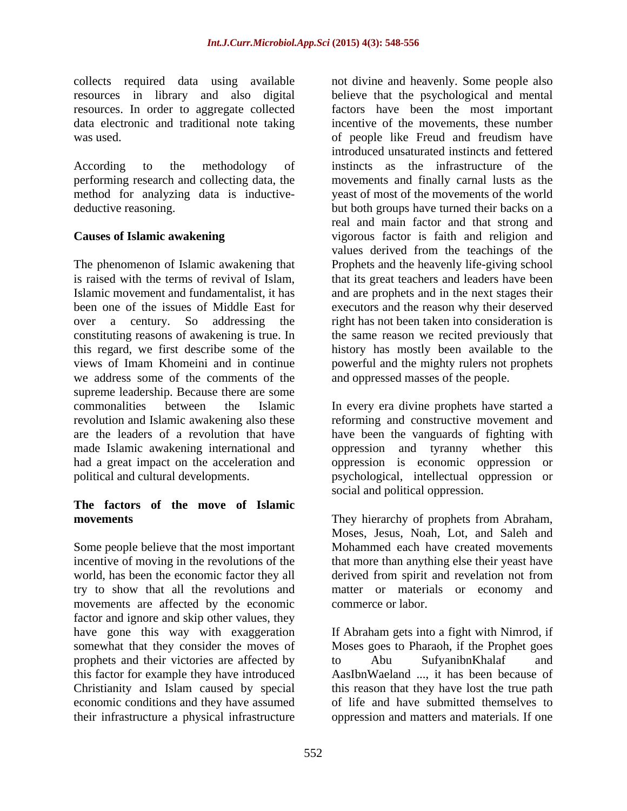resources. In order to aggregate collected

The phenomenon of Islamic awakening that Prophets and the heavenly life-giving school is raised with the terms of revival of Islam, that its great teachers and leaders have been Islamic movement and fundamentalist, it has and are prophets and in the next stages their been one of the issues of Middle East for executors and the reason why their deserved over a century. So addressing the right has not been taken into consideration is constituting reasons of awakening is true. In this regard, we first describe some of the history has mostly been available to the views of Imam Khomeini and in continue powerful and the mighty rulers not prophets we address some of the comments of the supreme leadership. Because there are some commonalities between the Islamic In every era divine prophets have started a revolution and Islamic awakening also these reforming and constructive movement and are the leaders of a revolution that have have been the vanguards of fighting with made Islamic awakening international and had a great impact on the acceleration and oppression is economic oppression or political and cultural developments. psychological, intellectual oppression or

## **The factors of the move of Islamic**

Some people believe that the most important world, has been the economic factor they all derived from spirit and revelation not from try to show that all the revolutions and movements are affected by the economic factor and ignore and skip other values, they have gone this way with exaggeration somewhat that they consider the moves of Moses goes to Pharaoh, if the Prophet goes prophets and their victories are affected by to Abu SufyanibnKhalaf and this factor for example they have introduced Christianity and Islam caused by special this reason that they have lost the true path economic conditions and they have assumed of life and have submitted themselves to their infrastructure a physical infrastructure oppression and matters and materials. If one

collects required data using available not divine and heavenly. Some people also resources in library and also digital believethat the psychological and mental data electronic and traditional note taking incentive of the movements, these number was used. of people like Freud and freudism have According to the methodology of instincts as the infrastructure of the performing research and collecting data, the movements and finally carnal lusts as the method for analyzing data is inductive- yeast of most of the movements of the world deductive reasoning. but both groups have turned their backs on a **Causes of Islamic awakening** vigorous factor is faith and religion and factors have been the most important introduced unsaturated instincts and fettered real and main factor and that strong and values derived from the teachings of the the same reason we recited previously that and oppressed masses of the people.

> oppression and tyranny whether this social and political oppression.

**movements** They hierarchy of prophets from Abraham, incentive of moving in the revolutions of the that more than anything else their yeast have Moses, Jesus, Noah, Lot, and Saleh and Mohammed each have created movements derived from spirit and revelation not from matter or materials or economy and commerce or labor.

> If Abraham gets into a fight with Nimrod, if to Abu SufyanibnKhalaf and AasIbnWaeland ..., it has been because of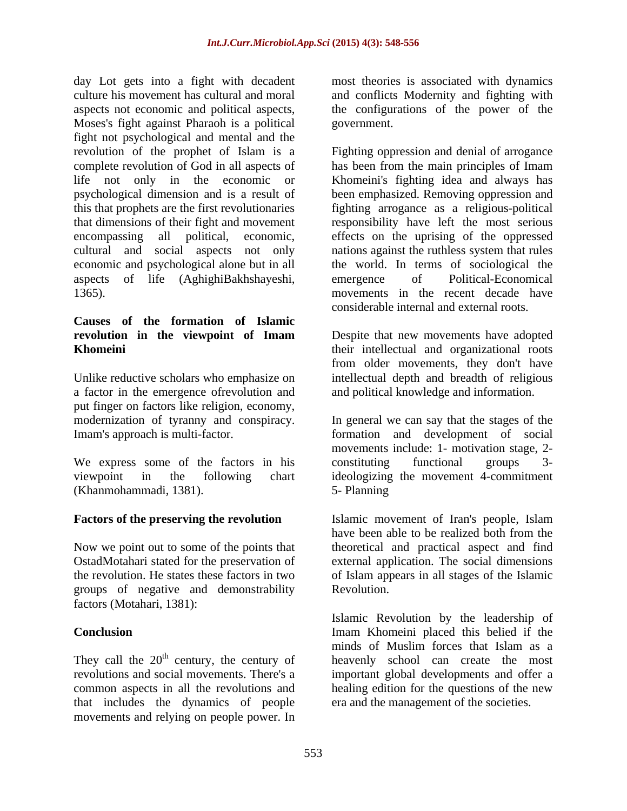day Lot gets into a fight with decadent most theories is associated with dynamics culture his movement has cultural and moral and conflicts Modernity and fighting with aspects not economic and political aspects, Moses's fight against Pharaoh is a political fight not psychological and mental and the revolution of the prophet of Islam is a Fighting oppression and denial of arrogance complete revolution of God in all aspects of has been from the main principles of Imam life not only in the economic or Khomeini's fighting idea and always has psychological dimension and is a result of been emphasized. Removing oppression and this that prophets are the first revolutionaries fighting arrogance as a religious-political that dimensions of their fight and movement responsibility have left the most serious encompassing all political, economic, effects on the uprising of the oppressed cultural and social aspects not only nations against the ruthless system that rules economic and psychological alone but in all the world. In terms of sociological the aspects of life (AghighiBakhshayeshi, 1365). movements in the recent decade have

# **Causes of the formation of Islamic**

Unlike reductive scholars who emphasize on intellectual depth and breadth of religious a factor in the emergence ofrevolution and put finger on factors like religion, economy, modernization of tyranny and conspiracy.

We express some of the factors in his constituting functional groups 3-(Khanmohammadi, 1381).

groups of negative and demonstrability factors (Motahari, 1381):

that includes the dynamics of people movements and relying on people power. In the configurations of the power of the government.

emergence of Political-Economical considerable internal and external roots.

**revolution in the viewpoint of Imam** Despite that new movements have adopted **Khomeini their** intellectual and organizational roots from older movements, they don't have and political knowledge and information.

Imam's approach is multi-factor. formation and development of social viewpoint in the following chart ideologizing the movement 4-commitment In general we can say that the stages of the movements include: 1- motivation stage, 2 constituting functional groups 3- 5- Planning

**Factors of the preserving the revolution** Islamic movement of Iran's people, Islam Now we point out to some of the points that theoretical and practical aspect and find OstadMotahari stated for the preservation of external application. The social dimensions the revolution. He states these factors in two of Islam appears in all stages of the Islamic have been able to be realized both from the Revolution.

**Conclusion** Imam Khomeini placed this belied if the They call the  $20<sup>th</sup>$  century, the century of heavenly school can create the most revolutions and social movements. There's a important global developments and offer a common aspects in all the revolutions and healing edition for the questions of the new Islamic Revolution by the leadership of minds of Muslim forces that Islam as a era and the management of the societies.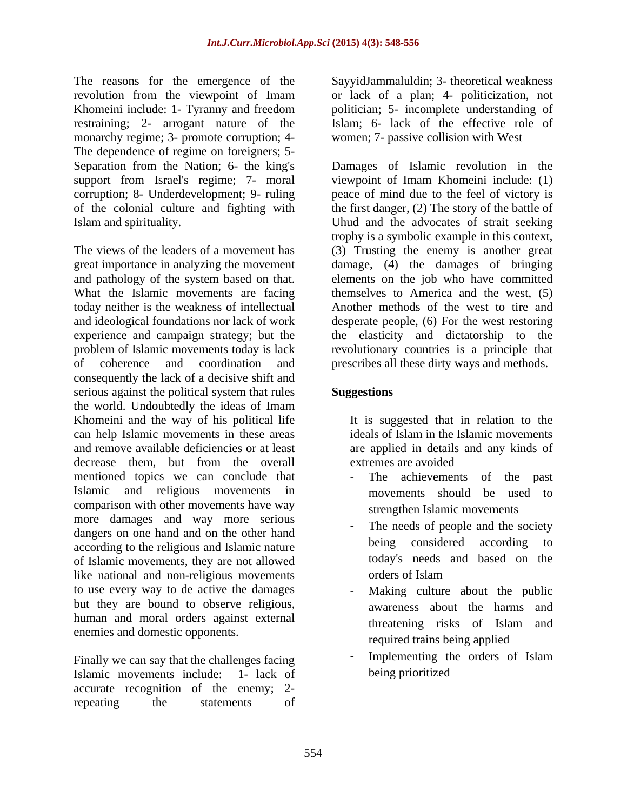The reasons for the emergence of the revolution from the viewpoint of Imam or lack of a plan; 4- politicization, not Khomeini include: 1- Tyranny and freedom politician; 5- incomplete understanding of restraining; 2- arrogant nature of the Islam; 6- lack of the effective role of monarchy regime; 3- promote corruption; 4- The dependence of regime on foreigners; 5-

The views of the leaders of a movement has (3) Trusting the enemy is another great great importance in analyzing the movement damage, (4) the damages of bringing and pathology of the system based on that. elements on the job who have committed What the Islamic movements are facing today neither is the weakness of intellectual and ideological foundations nor lack of work desperate people, (6) For the west restoring experience and campaign strategy; but the the elasticity and dictatorship to the problem of Islamic movements today is lack revolutionary countries is a principle that of coherence and coordination and prescribes all these dirty ways and methods. consequently the lack of a decisive shift and serious against the political system that rules **Suggestions** the world. Undoubtedly the ideas of Imam Khomeini and the way of his political life can help Islamic movements in these areas and remove available deficiencies or at least decrease them, but from the overall extremes are avoided mentioned topics we can conclude that - The achievements of the past Islamic and religious movements in comparison with other movements have way more damages and way more serious dangers on one hand and on the other hand<br>exacting to the religious and Islamic nature. according to the religious and Islamic nature of Islamic movements, they are not allowed like national and non-religious movements to use every way to de active the damages but they are bound to observe religious, human and moral orders against external threatening risks of Islam and enemies and domestic opponents.

Islamic movements include: 1- lack of accurate recognition of the enemy; 2 repeating the statements of

SayyidJammaluldin; 3- theoretical weakness politician; 5- incomplete understanding of women; 7- passive collision with West

Separation from the Nation; 6- the king's Damages of Islamic revolution in the support from Israel's regime; 7- moral viewpoint of Imam Khomeini include: (1) corruption; 8- Underdevelopment; 9- ruling peace of mind due to the feel of victory is of the colonial culture and fighting with the first danger, (2) The story of the battle of Islam and spirituality. Uhud and the advocates of strait seeking trophy is a symbolic example in this context, themselves to America and the west, (5) Another methods of the west to tire and

## **Suggestions**

It is suggested that in relation to the ideals of Islam in the Islamic movements are applied in details and any kinds of extremes are avoided

- The achievements of the past movements should be used to strengthen Islamic movements
- The needs of people and the society being considered according to today's needs and based on the orders of Islam
- Making culture about the public awareness about the harms and threatening risks of Islam and required trains being applied
- Finally we can say that the challenges facing the Implementing the orders of Islam - Implementing the orders of Islam being prioritized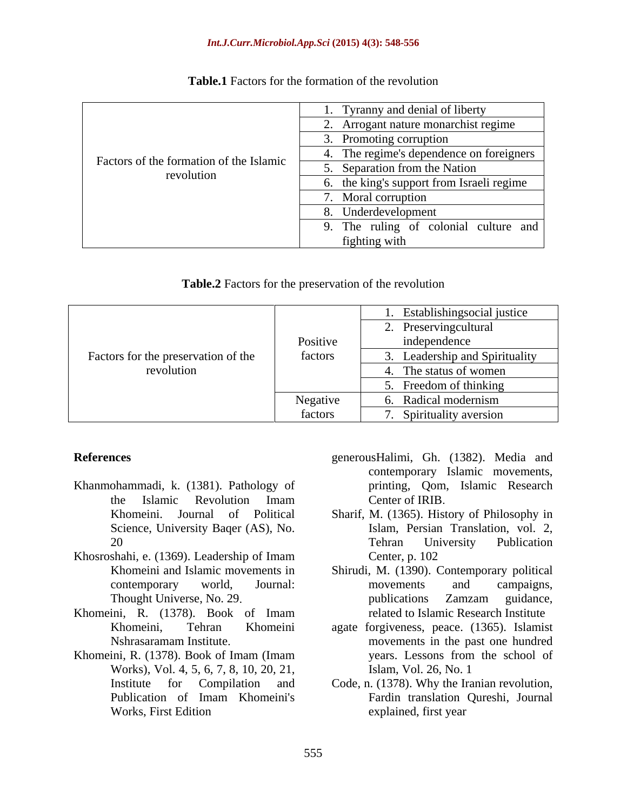### *Int.J.Curr.Microbiol.App.Sci* **(2015) 4(3): 548-556**

|                                         | . Tyranny and denial of liberty           |
|-----------------------------------------|-------------------------------------------|
| Factors of the formation of the Islamic | 2. Arrogant nature monarchist regime      |
|                                         | Promoting corruption                      |
|                                         | 4. The regime's dependence on foreigners  |
| revolution                              | 5. Separation from the Nation             |
|                                         | 6. the king's support from Israeli regime |
|                                         | 7. Moral corruption                       |
|                                         | 8. Underdevelopment                       |
|                                         | 9. The ruling of colonial culture and     |
|                                         | fighting with                             |

## **Table.1** Factors for the formation of the revolution

| <b>Table.2</b> Factors for the preservation of the revolution |  |
|---------------------------------------------------------------|--|
|                                                               |  |

| Factors for the preservation of the | Positive | . Establishingsocial justice<br>. Preservingcultural<br>independence |  |  |  |  |  |
|-------------------------------------|----------|----------------------------------------------------------------------|--|--|--|--|--|
|                                     | factors  | Leadership and Spirituality                                          |  |  |  |  |  |
| revolution                          |          | . The status of women                                                |  |  |  |  |  |
|                                     |          | Freedom of thinking                                                  |  |  |  |  |  |
|                                     | Negative | Radical modernism                                                    |  |  |  |  |  |
|                                     | factors  | Spirituality aversion                                                |  |  |  |  |  |

- Khanmohammadi, k. (1381). Pathology of Science, University Baqer (AS), No.
- Khosroshahi, e. (1369). Leadership of Imam Center, p. 102<br>Khomeini and Islamic movements in Shirudi, M. (1390).
- Khomeini, R. (1378). Book of Imam
- Works), Vol. 4, 5, 6, 7, 8, 10, 20, 21,
- **References** generousHalimi, Gh. (1382). Media and the Islamic Revolution Imam contemporary Islamic movements, printing, Qom, Islamic Research Center of IRIB
	- Khomeini. Journal of Political Sharif, M. (1365). History of Philosophy in 20 Islam, Persian Translation, vol. 2, Tehran University Publication Center, p. 102
	- Khomeini and Islamic movements in Shirudi, M. (1390). Contemporary political contemporary world, Journal: Thought Universe, No. 29. Thought Universe, No. 29. movements and campaigns, publications Zamzam guidance, related to Islamic Research Institute
- Khomeini, Tehran Khomeini agate forgiveness, peace. (1365). Islamist Nshrasaramam Institute movements in the past one hundred Khomeini, R. (1378). Book of Imam (Imam years. Lessons from the school of years. Lessons from the school of Islam, Vol. 26, No. 1
	- Institute for Compilation and Code, n. (1378). Why the Iranian revolution, Publication of Imam Khomeini's Fardin translation Qureshi, Journal Works, First Edition explained, first year